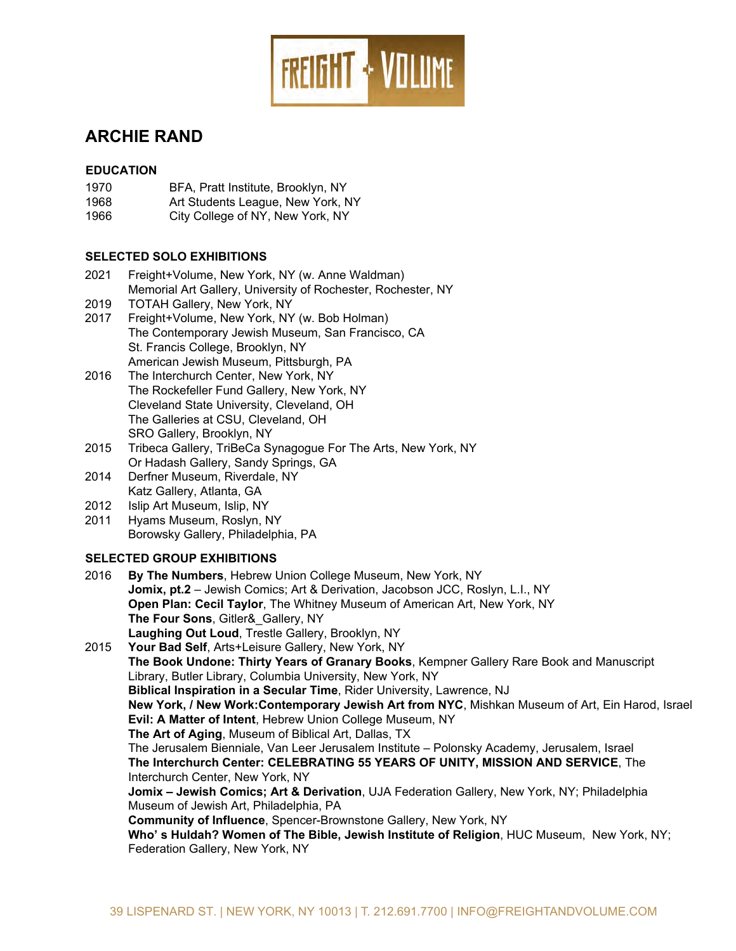

# **ARCHIE RAND**

## **EDUCATION**

- 1970 BFA, Pratt Institute, Brooklyn, NY
- 1968 Art Students League, New York, NY
- 1966 City College of NY, New York, NY

## **SELECTED SOLO EXHIBITIONS**

- 2021 Freight+Volume, New York, NY (w. Anne Waldman) Memorial Art Gallery, University of Rochester, Rochester, NY
- 2019 TOTAH Gallery, New York, NY
- 2017 Freight+Volume, New York, NY (w. Bob Holman) The Contemporary Jewish Museum, San Francisco, CA St. Francis College, Brooklyn, NY American Jewish Museum, Pittsburgh, PA
- 2016 The Interchurch Center, New York, NY The Rockefeller Fund Gallery, New York, NY Cleveland State University, Cleveland, OH The Galleries at CSU, Cleveland, OH SRO Gallery, Brooklyn, NY
- 2015 Tribeca Gallery, TriBeCa Synagogue For The Arts, New York, NY Or Hadash Gallery, Sandy Springs, GA
- 2014 Derfner Museum, Riverdale, NY Katz Gallery, Atlanta, GA
- 2012 Islip Art Museum, Islip, NY
- 2011 Hyams Museum, Roslyn, NY Borowsky Gallery, Philadelphia, PA

# **SELECTED GROUP EXHIBITIONS**

2016 **By The Numbers**, Hebrew Union College Museum, New York, NY **Jomix, pt.2** – Jewish Comics; Art & Derivation, Jacobson JCC, Roslyn, L.I., NY **Open Plan: Cecil Taylor**, The Whitney Museum of American Art, New York, NY **The Four Sons**, Gitler&\_Gallery, NY **Laughing Out Loud**, Trestle Gallery, Brooklyn, NY 2015 **Your Bad Self**, Arts+Leisure Gallery, New York, NY **The Book Undone: Thirty Years of Granary Books**, Kempner Gallery Rare Book and Manuscript Library, Butler Library, Columbia University, New York, NY **Biblical Inspiration in a Secular Time**, Rider University, Lawrence, NJ **New York, / New Work:Contemporary Jewish Art from NYC**, Mishkan Museum of Art, Ein Harod, Israel **Evil: A Matter of Intent**, Hebrew Union College Museum, NY **The Art of Aging**, Museum of Biblical Art, Dallas, TX The Jerusalem Bienniale, Van Leer Jerusalem Institute – Polonsky Academy, Jerusalem, Israel **The Interchurch Center: CELEBRATING 55 YEARS OF UNITY, MISSION AND SERVICE**, The Interchurch Center, New York, NY **Jomix – Jewish Comics; Art & Derivation**, UJA Federation Gallery, New York, NY; Philadelphia Museum of Jewish Art, Philadelphia, PA **Community of Influence**, Spencer-Brownstone Gallery, New York, NY **Who' s Huldah? Women of The Bible, Jewish Institute of Religion**, HUC Museum, New York, NY; Federation Gallery, New York, NY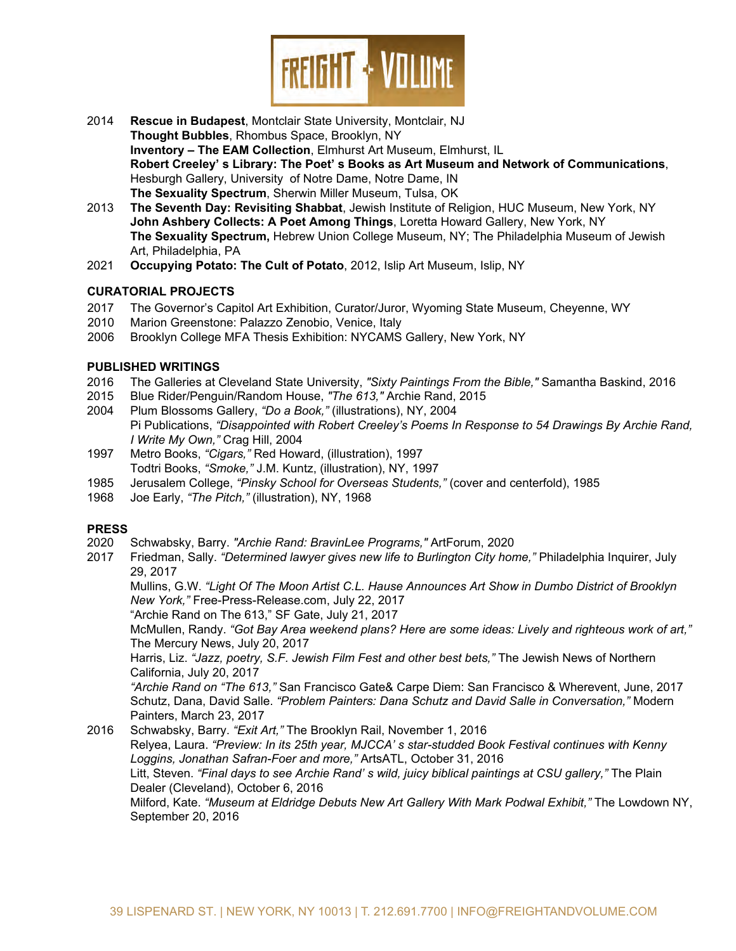

- 2014 **Rescue in Budapest**, Montclair State University, Montclair, NJ **Thought Bubbles**, Rhombus Space, Brooklyn, NY **Inventory – The EAM Collection**, Elmhurst Art Museum, Elmhurst, IL **Robert Creeley' s Library: The Poet' s Books as Art Museum and Network of Communications**, Hesburgh Gallery, University of Notre Dame, Notre Dame, IN **The Sexuality Spectrum**, Sherwin Miller Museum, Tulsa, OK
- 2013 **The Seventh Day: Revisiting Shabbat**, Jewish Institute of Religion, HUC Museum, New York, NY **John Ashbery Collects: A Poet Among Things**, Loretta Howard Gallery, New York, NY **The Sexuality Spectrum,** Hebrew Union College Museum, NY; The Philadelphia Museum of Jewish Art, Philadelphia, PA
- 2021 **Occupying Potato: The Cult of Potato**, 2012, Islip Art Museum, Islip, NY

#### **CURATORIAL PROJECTS**

- 2017 The Governor's Capitol Art Exhibition, Curator/Juror, Wyoming State Museum, Cheyenne, WY
- 2010 Marion Greenstone: Palazzo Zenobio, Venice, Italy
- Brooklyn College MFA Thesis Exhibition: NYCAMS Gallery, New York, NY

#### **PUBLISHED WRITINGS**

- 2016 The Galleries at Cleveland State University, *"Sixty Paintings From the Bible,"* Samantha Baskind, 2016
- 2015 Blue Rider/Penguin/Random House, *"The 613,"* Archie Rand, 2015
- 2004 Plum Blossoms Gallery, *"Do a Book,"* (illustrations), NY, 2004 Pi Publications, *"Disappointed with Robert Creeley's Poems In Response to 54 Drawings By Archie Rand, I Write My Own,"* Crag Hill, 2004
- 1997 Metro Books, *"Cigars,"* Red Howard, (illustration), 1997 Todtri Books, *"Smoke,"* J.M. Kuntz, (illustration), NY, 1997
- 1985 Jerusalem College, *"Pinsky School for Overseas Students,"* (cover and centerfold), 1985
- 1968 Joe Early, *"The Pitch,"* (illustration), NY, 1968

#### **PRESS**

- 2020 Schwabsky, Barry. *"Archie Rand: BravinLee Programs,"* ArtForum, 2020
- 2017 Friedman, Sally. *"Determined lawyer gives new life to Burlington City home,"* Philadelphia Inquirer, July 29, 2017

Mullins, G.W. *"Light Of The Moon Artist C.L. Hause Announces Art Show in Dumbo District of Brooklyn New York,"* Free-Press-Release.com, July 22, 2017

"Archie Rand on The 613," SF Gate, July 21, 2017

McMullen, Randy. *"Got Bay Area weekend plans? Here are some ideas: Lively and righteous work of art,"* The Mercury News, July 20, 2017

Harris, Liz. *"Jazz, poetry, S.F. Jewish Film Fest and other best bets,"* The Jewish News of Northern California, July 20, 2017

*"Archie Rand on "The 613,"* San Francisco Gate& Carpe Diem: San Francisco & Wherevent, June, 2017 Schutz, Dana, David Salle. *"Problem Painters: Dana Schutz and David Salle in Conversation,"* Modern Painters, March 23, 2017

2016 Schwabsky, Barry. *"Exit Art,"* The Brooklyn Rail, November 1, 2016 Relyea, Laura. *"Preview: In its 25th year, MJCCA' s star-studded Book Festival continues with Kenny Loggins, Jonathan Safran-Foer and more,"* ArtsATL, October 31, 2016 Litt, Steven. *"Final days to see Archie Rand' s wild, juicy biblical paintings at CSU gallery,"* The Plain Dealer (Cleveland), October 6, 2016 Milford, Kate. *"Museum at Eldridge Debuts New Art Gallery With Mark Podwal Exhibit,"* The Lowdown NY, September 20, 2016